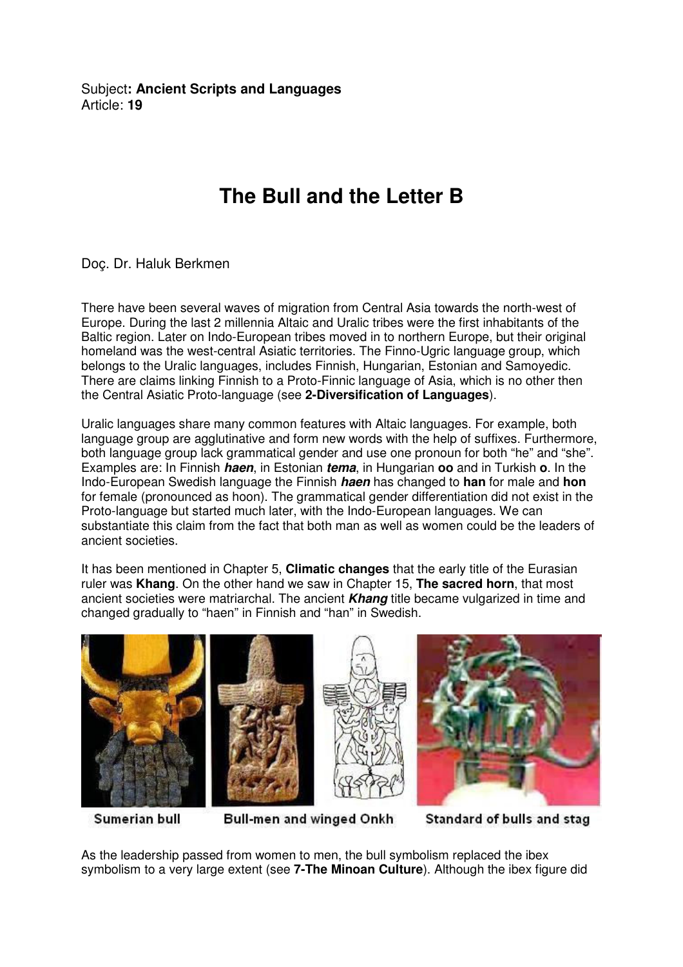Subject**: Ancient Scripts and Languages**  Article: **19**

## **The Bull and the Letter B**

Doç. Dr. Haluk Berkmen

There have been several waves of migration from Central Asia towards the north-west of Europe. During the last 2 millennia Altaic and Uralic tribes were the first inhabitants of the Baltic region. Later on Indo-European tribes moved in to northern Europe, but their original homeland was the west-central Asiatic territories. The Finno-Ugric language group, which belongs to the Uralic languages, includes Finnish, Hungarian, Estonian and Samoyedic. There are claims linking Finnish to a Proto-Finnic language of Asia, which is no other then the Central Asiatic Proto-language (see **2-Diversification of Languages**).

Uralic languages share many common features with Altaic languages. For example, both language group are agglutinative and form new words with the help of suffixes. Furthermore, both language group lack grammatical gender and use one pronoun for both "he" and "she". Examples are: In Finnish **haen**, in Estonian **tema**, in Hungarian **oo** and in Turkish **o**. In the Indo-European Swedish language the Finnish **haen** has changed to **han** for male and **hon** for female (pronounced as hoon). The grammatical gender differentiation did not exist in the Proto-language but started much later, with the Indo-European languages. We can substantiate this claim from the fact that both man as well as women could be the leaders of ancient societies.

It has been mentioned in Chapter 5, **Climatic changes** that the early title of the Eurasian ruler was **Khang**. On the other hand we saw in Chapter 15, **The sacred horn**, that most ancient societies were matriarchal. The ancient **Khang** title became vulgarized in time and changed gradually to "haen" in Finnish and "han" in Swedish.



Sumerian bull

Bull-men and winged Onkh

Standard of bulls and stag

As the leadership passed from women to men, the bull symbolism replaced the ibex symbolism to a very large extent (see **7-The Minoan Culture**). Although the ibex figure did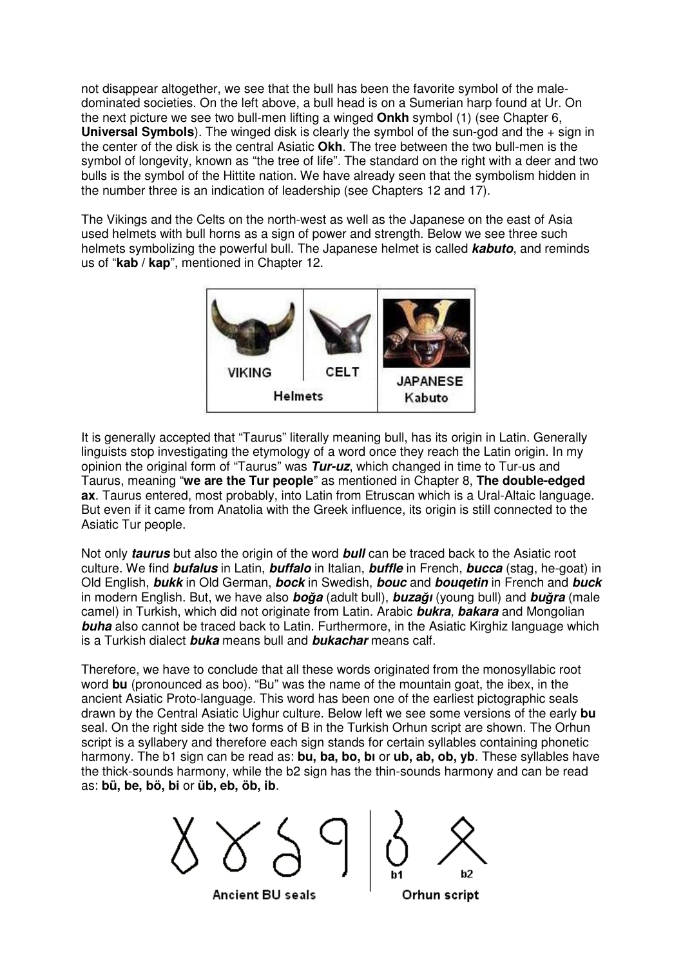not disappear altogether, we see that the bull has been the favorite symbol of the maledominated societies. On the left above, a bull head is on a Sumerian harp found at Ur. On the next picture we see two bull-men lifting a winged **Onkh** symbol (1) (see Chapter 6, **Universal Symbols**). The winged disk is clearly the symbol of the sun-god and the + sign in the center of the disk is the central Asiatic **Okh**. The tree between the two bull-men is the symbol of longevity, known as "the tree of life". The standard on the right with a deer and two bulls is the symbol of the Hittite nation. We have already seen that the symbolism hidden in the number three is an indication of leadership (see Chapters 12 and 17).

The Vikings and the Celts on the north-west as well as the Japanese on the east of Asia used helmets with bull horns as a sign of power and strength. Below we see three such helmets symbolizing the powerful bull. The Japanese helmet is called **kabuto**, and reminds us of "**kab / kap**", mentioned in Chapter 12.



It is generally accepted that "Taurus" literally meaning bull, has its origin in Latin. Generally linguists stop investigating the etymology of a word once they reach the Latin origin. In my opinion the original form of "Taurus" was **Tur-uz**, which changed in time to Tur-us and Taurus, meaning "**we are the Tur people**" as mentioned in Chapter 8, **The double-edged ax**. Taurus entered, most probably, into Latin from Etruscan which is a Ural-Altaic language. But even if it came from Anatolia with the Greek influence, its origin is still connected to the Asiatic Tur people.

Not only **taurus** but also the origin of the word **bull** can be traced back to the Asiatic root culture. We find **bufalus** in Latin, **buffalo** in Italian, **buffle** in French, **bucca** (stag, he-goat) in Old English, **bukk** in Old German, **bock** in Swedish, **bouc** and **bouqetin** in French and **buck**  in modern English. But, we have also **bo**ğ**a** (adult bull), **buza**ğ**ı** (young bull) and **bu**ğ**ra** (male camel) in Turkish, which did not originate from Latin. Arabic **bukra**, **bakara** and Mongolian **buha** also cannot be traced back to Latin. Furthermore, in the Asiatic Kirghiz language which is a Turkish dialect **buka** means bull and **bukachar** means calf.

Therefore, we have to conclude that all these words originated from the monosyllabic root word **bu** (pronounced as boo). "Bu" was the name of the mountain goat, the ibex, in the ancient Asiatic Proto-language. This word has been one of the earliest pictographic seals drawn by the Central Asiatic Uighur culture. Below left we see some versions of the early **bu** seal. On the right side the two forms of B in the Turkish Orhun script are shown. The Orhun script is a syllabery and therefore each sign stands for certain syllables containing phonetic harmony. The b1 sign can be read as: **bu, ba, bo, bı** or **ub, ab, ob, yb**. These syllables have the thick-sounds harmony, while the b2 sign has the thin-sounds harmony and can be read as: **bü, be, bö, bi** or **üb, eb, öb, ib**.